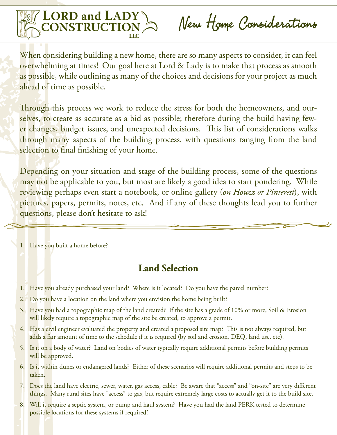

When considering building a new home, there are so many aspects to consider, it can feel overwhelming at times! Our goal here at Lord & Lady is to make that process as smooth as possible, while outlining as many of the choices and decisions for your project as much ahead of time as possible.

Through this process we work to reduce the stress for both the homeowners, and ourselves, to create as accurate as a bid as possible; therefore during the build having fewer changes, budget issues, and unexpected decisions. This list of considerations walks through many aspects of the building process, with questions ranging from the land selection to final finishing of your home.

Depending on your situation and stage of the building process, some of the questions may not be applicable to you, but most are likely a good idea to start pondering. While reviewing perhaps even start a notebook, or online gallery (*on Houzz or Pinterest*), with pictures, papers, permits, notes, etc. And if any of these thoughts lead you to further questions, please don't hesitate to ask!

1. Have you built a home before?

## **Land Selection**

- 1. Have you already purchased your land? Where is it located? Do you have the parcel number?
- 2. Do you have a location on the land where you envision the home being built?
- 3. Have you had a topographic map of the land created? If the site has a grade of 10% or more, Soil & Erosion will likely require a topographic map of the site be created, to approve a permit.
- 4. Has a civil engineer evaluated the property and created a proposed site map? This is not always required, but adds a fair amount of time to the schedule if it is required (by soil and erosion, DEQ, land use, etc).
- 5. Is it on a body of water? Land on bodies of water typically require additional permits before building permits will be approved.
- 6. Is it within dunes or endangered lands? Either of these scenarios will require additional permits and steps to be taken.
- 7. Does the land have electric, sewer, water, gas access, cable? Be aware that "access" and "on-site" are very different things. Many rural sites have "access" to gas, but require extremely large costs to actually get it to the build site.
- 8. Will it require a septic system, or pump and haul system? Have you had the land PERK tested to determine possible locations for these systems if required?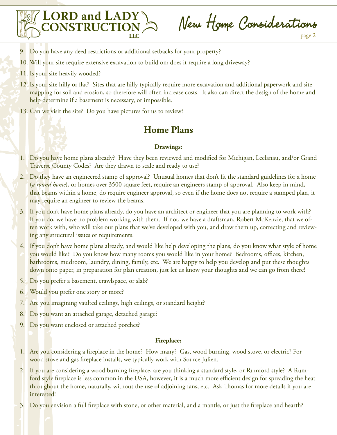

New Home Considerations

- 9. Do you have any deed restrictions or additional setbacks for your property?
- 10. Will your site require extensive excavation to build on; does it require a long driveway?
- 11. Is your site heavily wooded?
- 12. Is your site hilly or flat? Sites that are hilly typically require more excavation and additional paperwork and site mapping for soil and erosion, so therefore will often increase costs. It also can direct the design of the home and help determine if a basement is necessary, or impossible.
- 13. Can we visit the site? Do you have pictures for us to review?

## **Home Plans**

#### **Drawings:**

- 1. Do you have home plans already? Have they been reviewed and modified for Michigan, Leelanau, and/or Grand Traverse County Codes? Are they drawn to scale and ready to use?
- 2. Do they have an engineered stamp of approval? Unusual homes that don't fit the standard guidelines for a home (*a round home*), or homes over 3500 square feet, require an engineers stamp of approval. Also keep in mind, that beams within a home, do require engineer approval, so even if the home does not require a stamped plan, it may require an engineer to review the beams.
- 3. If you don't have home plans already, do you have an architect or engineer that you are planning to work with? If you do, we have no problem working with them. If not, we have a draftsman, Robert McKenzie, that we often work with, who will take our plans that we've developed with you, and draw them up, correcting and reviewing any structural issues or requirements.
- 4. If you don't have home plans already, and would like help developing the plans, do you know what style of home you would like? Do you know how many rooms you would like in your home? Bedrooms, offices, kitchen, bathrooms, mudroom, laundry, dining, family, etc. We are happy to help you develop and put these thoughts down onto paper, in preparation for plan creation, just let us know your thoughts and we can go from there!
- 5. Do you prefer a basement, crawlspace, or slab?
- 6. Would you prefer one story or more?
- 7. Are you imagining vaulted ceilings, high ceilings, or standard height?
- 8. Do you want an attached garage, detached garage?
- 9. Do you want enclosed or attached porches?

#### **Fireplace:**

- 1. Are you considering a fireplace in the home? How many? Gas, wood burning, wood stove, or electric? For wood stove and gas fireplace installs, we typically work with Source Julien.
- 2. If you are considering a wood burning fireplace, are you thinking a standard style, or Rumford style? A Rumford style fireplace is less common in the USA, however, it is a much more efficient design for spreading the heat throughout the home, naturally, without the use of adjoining fans, etc. Ask Thomas for more details if you are interested!
- 3. Do you envision a full fireplace with stone, or other material, and a mantle, or just the fireplace and hearth?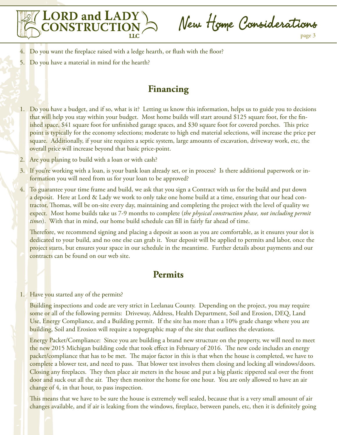

New Home Considerations

- 4. Do you want the fireplace raised with a ledge hearth, or flush with the floor?
- 5. Do you have a material in mind for the hearth?

## **Financing**

- 1. Do you have a budget, and if so, what is it? Letting us know this information, helps us to guide you to decisions that will help you stay within your budget. Most home builds will start around \$125 square foot, for the finished space, \$41 square foot for unfinished garage spaces, and \$30 square foot for covered porches. This price point is typically for the economy selections; moderate to high end material selections, will increase the price per square. Additionally, if your site requires a septic system, large amounts of excavation, driveway work, etc, the overall price will increase beyond that basic price-point.
- 2. Are you planing to build with a loan or with cash?
- 3. If you're working with a loan, is your bank loan already set, or in process? Is there additional paperwork or information you will need from us for your loan to be approved?
- 4. To guarantee your time frame and build, we ask that you sign a Contract with us for the build and put down a deposit. Here at Lord & Lady we work to only take one home build at a time, ensuring that our head contractor, Thomas, will be on-site every day, maintaining and completing the project with the level of quality we expect. Most home builds take us 7-9 months to complete (*the physical construction phase, not including permit times*). With that in mind, our home build schedule can fill in fairly far ahead of time.

Therefore, we recommend signing and placing a deposit as soon as you are comfortable, as it ensures your slot is dedicated to your build, and no one else can grab it. Your deposit will be applied to permits and labor, once the project starts, but ensures your space in our schedule in the meantime. Further details about payments and our contracts can be found on our web site.

## **Permits**

#### 1. Have you started any of the permits?

Building inspections and code are very strict in Leelanau County. Depending on the project, you may require some or all of the following permits: Driveway, Address, Health Department, Soil and Erosion, DEQ, Land Use, Energy Compliance, and a Building permit. If the site has more than a 10% grade change where you are building, Soil and Erosion will require a topographic map of the site that outlines the elevations.

Energy Packet/Compliance: Since you are building a brand new structure on the property, we will need to meet the new 2015 Michigan building code that took effect in February of 2016. The new code includes an energy packet/compliance that has to be met. The major factor in this is that when the house is completed, we have to complete a blower test, and need to pass. That blower test involves them closing and locking all windows/doors. Closing any fireplaces. They then place air meters in the house and put a big plastic zippered seal over the front door and suck out all the air. They then monitor the home for one hour. You are only allowed to have an air change of 4, in that hour, to pass inspection.

This means that we have to be sure the house is extremely well sealed, because that is a very small amount of air changes available, and if air is leaking from the windows, fireplace, between panels, etc, then it is definitely going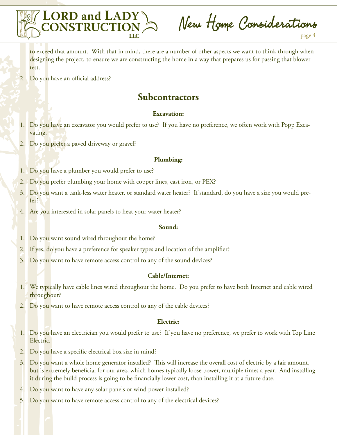

New Home Considerations

to exceed that amount. With that in mind, there are a number of other aspects we want to think through when designing the project, to ensure we are constructing the home in a way that prepares us for passing that blower test.

2. Do you have an official address?

## **Subcontractors**

#### **Excavation:**

- 1. Do you have an excavator you would prefer to use? If you have no preference, we often work with Popp Excavating.
- 2. Do you prefer a paved driveway or gravel?

#### **Plumbing:**

- 1. Do you have a plumber you would prefer to use?
- 2. Do you prefer plumbing your home with copper lines, cast iron, or PEX?
- 3. Do you want a tank-less water heater, or standard water heater? If standard, do you have a size you would prefer?
- 4. Are you interested in solar panels to heat your water heater?

#### **Sound:**

- 1. Do you want sound wired throughout the home?
- 2. If yes, do you have a preference for speaker types and location of the amplifier?
- 3. Do you want to have remote access control to any of the sound devices?

#### **Cable/Internet:**

- 1. We typically have cable lines wired throughout the home. Do you prefer to have both Internet and cable wired throughout?
- 2. Do you want to have remote access control to any of the cable devices?

#### **Electric:**

- 1. Do you have an electrician you would prefer to use? If you have no preference, we prefer to work with Top Line Electric.
- 2. Do you have a specific electrical box size in mind?
- 3. Do you want a whole home generator installed? This will increase the overall cost of electric by a fair amount, but is extremely beneficial for our area, which homes typically loose power, multiple times a year. And installing it during the build process is going to be financially lower cost, than installing it at a future date.
- 4. Do you want to have any solar panels or wind power installed?
- 5. Do you want to have remote access control to any of the electrical devices?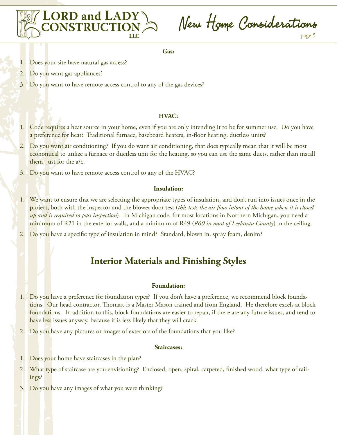

New Home Considerations page 5

**Gas:**

- 1. Does your site have natural gas access?
- 2. Do you want gas appliances?
- 3. Do you want to have remote access control to any of the gas devices?

#### **HVAC:**

- 1. Code requires a heat source in your home, even if you are only intending it to be for summer use. Do you have a preference for heat? Traditional furnace, baseboard heaters, in-floor heating, ductless units?
- 2. Do you want air conditioning? If you do want air conditioning, that does typically mean that it will be most economical to utilize a furnace or ductless unit for the heating, so you can use the same ducts, rather than install them, just for the a/c.
- 3. Do you want to have remote access control to any of the HVAC?

#### **Insulation:**

- 1. We want to ensure that we are selecting the appropriate types of insulation, and don't run into issues once in the project, both with the inspector and the blower door test (*this tests the air flow in/out of the home when it is closed up and is required to pass inspection*). In Michigan code, for most locations in Northern Michigan, you need a minimum of R21 in the exterior walls, and a minimum of R49 (*R60 in most of Leelanau County*) in the ceiling.
- 2. Do you have a specific type of insulation in mind? Standard, blown in, spray foam, denim?

## **Interior Materials and Finishing Styles**

#### **Foundation:**

- 1. Do you have a preference for foundation types? If you don't have a preference, we recommend block foundations. Our head contractor, Thomas, is a Master Mason trained and from England. He therefore excels at block foundations. In addition to this, block foundations are easier to repair, if there are any future issues, and tend to have less issues anyway, because it is less likely that they will crack.
- 2. Do you have any pictures or images of exteriors of the foundations that you like?

#### **Staircases:**

- 1. Does your home have staircases in the plan?
- 2. What type of staircase are you envisioning? Enclosed, open, spiral, carpeted, finished wood, what type of railings?
- 3. Do you have any images of what you were thinking?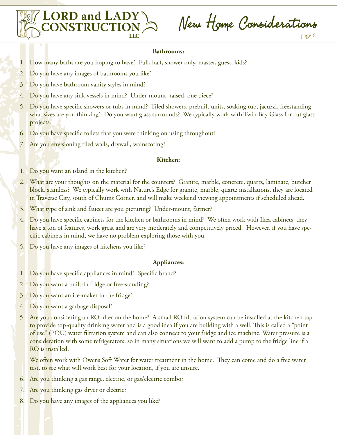

New Home Considerations

#### **Bathrooms:**

- 1. How many baths are you hoping to have? Full, half, shower only, master, guest, kids?
- 2. Do you have any images of bathrooms you like?
- 3. Do you have bathroom vanity styles in mind?
- 4. Do you have any sink vessels in mind? Under-mount, raised, one piece?
- 5. Do you have specific showers or tubs in mind? Tiled showers, prebuilt units, soaking tub, jacuzzi, freestanding, what sizes are you thinking? Do you want glass surrounds? We typically work with Twin Bay Glass for cut glass projects.
- 6. Do you have specific toilets that you were thinking on using throughout?
- 7. Are you envisioning tiled walls, drywall, wainscoting?

#### **Kitchen:**

- 1. Do you want an island in the kitchen?
- 2. What are your thoughts on the material for the counters? Granite, marble, concrete, quartz, laminate, butcher block, stainless? We typically work with Nature's Edge for granite, marble, quartz installations, they are located in Traverse City, south of Chums Corner, and will make weekend viewing appointments if scheduled ahead.
- 3. What type of sink and faucet are you picturing? Under-mount, farmer?
- 4. Do you have specific cabinets for the kitchen or bathrooms in mind? We often work with Ikea cabinets, they have a ton of features, work great and are very moderately and competitively priced. However, if you have specific cabinets in mind, we have no problem exploring those with you.
- 5. Do you have any images of kitchens you like?

#### **Appliances:**

- 1. Do you have specific appliances in mind? Specific brand?
- 2. Do you want a built-in fridge or free-standing?
- 3. Do you want an ice-maker in the fridge?
- 4. Do you want a garbage disposal?
- 5. Are you considering an RO filter on the home? A small RO filtration system can be installed at the kitchen tap to provide top-quality drinking water and is a good idea if you are building with a well. This is called a "point of use" (POU) water filtration system and can also connect to your fridge and ice machine. Water pressure is a consideration with some refrigerators, so in many situations we will want to add a pump to the fridge line if a RO is installed.

We often work with Owens Soft Water for water treatment in the home. They can come and do a free water test, to see what will work best for your location, if you are unsure.

- 6. Are you thinking a gas range, electric, or gas/electric combo?
- 7. Are you thinking gas dryer or electric?
- 8. Do you have any images of the appliances you like?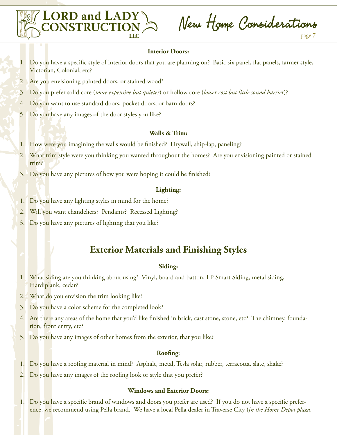

#### **Interior Doors:**

- 1. Do you have a specific style of interior doors that you are planning on? Basic six panel, flat panels, farmer style, Victorian, Colonial, etc?
- 2. Are you envisioning painted doors, or stained wood?

**LORD and LADY<br>CONSTRUCTION** 

- 3. Do you prefer solid core (*more expensive but quieter*) or hollow core (*lower cost but little sound barrier*)?
- 4. Do you want to use standard doors, pocket doors, or barn doors?
- 5. Do you have any images of the door styles you like?

#### **Walls & Trim:**

- 1. How were you imagining the walls would be finished? Drywall, ship-lap, paneling?
- 2. What trim style were you thinking you wanted throughout the homes? Are you envisioning painted or stained trim?
- 3. Do you have any pictures of how you were hoping it could be finished?

#### **Lighting:**

- 1. Do you have any lighting styles in mind for the home?
- 2. Will you want chandeliers? Pendants? Recessed Lighting?
- 3. Do you have any pictures of lighting that you like?

### **Exterior Materials and Finishing Styles**

#### **Siding:**

- 1. What siding are you thinking about using? Vinyl, board and batton, LP Smart Siding, metal siding, Hardiplank, cedar?
- 2. What do you envision the trim looking like?
- 3. Do you have a color scheme for the completed look?
- 4. Are there any areas of the home that you'd like finished in brick, cast stone, stone, etc? The chimney, foundation, front entry, etc?
- 5. Do you have any images of other homes from the exterior, that you like?

#### **Roofing**:

- 1. Do you have a roofing material in mind? Asphalt, metal, Tesla solar, rubber, terracotta, slate, shake?
- 2. Do you have any images of the roofing look or style that you prefer?

#### **Windows and Exterior Doors:**

1. Do you have a specific brand of windows and doors you prefer are used? If you do not have a specific preference, we recommend using Pella brand. We have a local Pella dealer in Traverse City (*in the Home Depot plaza,*